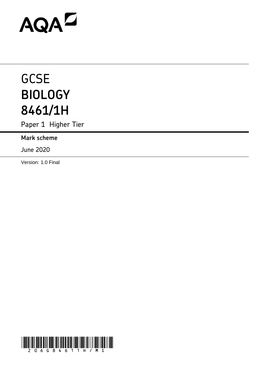# AQAD

# **GCSE BIOLOGY 8461/1H**

Paper 1 Higher Tier

**Mark scheme** 

June 2020

Version: 1.0 Final

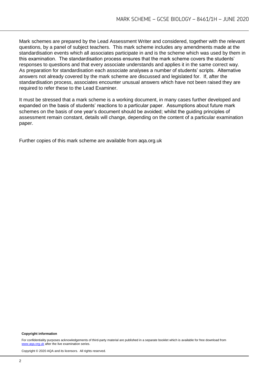Mark schemes are prepared by the Lead Assessment Writer and considered, together with the relevant questions, by a panel of subject teachers. This mark scheme includes any amendments made at the standardisation events which all associates participate in and is the scheme which was used by them in this examination. The standardisation process ensures that the mark scheme covers the students' responses to questions and that every associate understands and applies it in the same correct way. As preparation for standardisation each associate analyses a number of students' scripts. Alternative answers not already covered by the mark scheme are discussed and legislated for. If, after the standardisation process, associates encounter unusual answers which have not been raised they are required to refer these to the Lead Examiner.

It must be stressed that a mark scheme is a working document, in many cases further developed and expanded on the basis of students' reactions to a particular paper. Assumptions about future mark schemes on the basis of one year's document should be avoided; whilst the guiding principles of assessment remain constant, details will change, depending on the content of a particular examination paper.

Further copies of this mark scheme are available from aqa.org.uk

#### **Copyright information**

For confidentiality purposes acknowledgements of third-party material are published in a separate booklet which is available for free download from [www.aqa.org.uk](http://www.aqa.org.uk/) after the live examination series.

Copyright © 2020 AQA and its licensors. All rights reserved.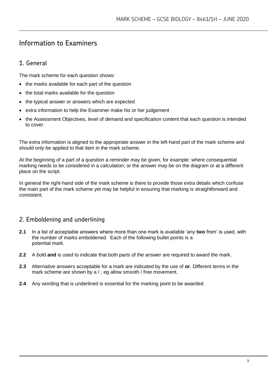# Information to Examiners

# 1. General

The mark scheme for each question shows:

- the marks available for each part of the question
- the total marks available for the question
- the typical answer or answers which are expected
- extra information to help the Examiner make his or her judgement
- the Assessment Objectives, level of demand and specification content that each question is intended to cover.

The extra information is aligned to the appropriate answer in the left-hand part of the mark scheme and should only be applied to that item in the mark scheme.

At the beginning of a part of a question a reminder may be given, for example: where consequential marking needs to be considered in a calculation; or the answer may be on the diagram or at a different place on the script.

In general the right-hand side of the mark scheme is there to provide those extra details which confuse the main part of the mark scheme yet may be helpful in ensuring that marking is straightforward and consistent.

# 2. Emboldening and underlining

- **2.1** In a list of acceptable answers where more than one mark is available 'any **two** from' is used, with the number of marks emboldened. Each of the following bullet points is a potential mark.
- **2.2** A bold **and** is used to indicate that both parts of the answer are required to award the mark.
- **2.3** Alternative answers acceptable for a mark are indicated by the use of **or**. Different terms in the mark scheme are shown by a / ; eg allow smooth / free movement.
- **2.4** Any wording that is underlined is essential for the marking point to be awarded.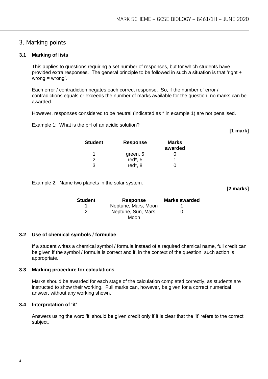## 3. Marking points

#### **3.1 Marking of lists**

This applies to questions requiring a set number of responses, but for which students have provided extra responses. The general principle to be followed in such a situation is that 'right + wrong = wrong'.

Each error / contradiction negates each correct response. So, if the number of error / contradictions equals or exceeds the number of marks available for the question, no marks can be awarded.

However, responses considered to be neutral (indicated as \* in example 1) are not penalised.

Example 1: What is the pH of an acidic solution?

**[1 mark]**

**[2 marks]**

| <b>Student</b> | <b>Response</b> | <b>Marks</b><br>awarded |
|----------------|-----------------|-------------------------|
| 1              | green, 5        |                         |
| 2              | red $*$ , 5     |                         |
| З              | red*, 8         |                         |

Example 2: Name two planets in the solar system.

**Student Response Marks awarded** 1 **Neptune, Mars, Moon** 1 2 Neptune, Sun, Mars, Moon  $\Omega$ 

#### **3.2 Use of chemical symbols / formulae**

If a student writes a chemical symbol / formula instead of a required chemical name, full credit can be given if the symbol / formula is correct and if, in the context of the question, such action is appropriate.

#### **3.3 Marking procedure for calculations**

Marks should be awarded for each stage of the calculation completed correctly, as students are instructed to show their working. Full marks can, however, be given for a correct numerical answer, without any working shown.

#### **3.4 Interpretation of 'it'**

Answers using the word 'it' should be given credit only if it is clear that the 'it' refers to the correct subject.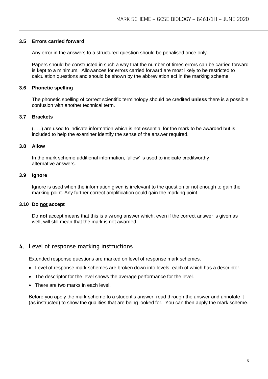#### **3.5 Errors carried forward**

Any error in the answers to a structured question should be penalised once only.

Papers should be constructed in such a way that the number of times errors can be carried forward is kept to a minimum. Allowances for errors carried forward are most likely to be restricted to calculation questions and should be shown by the abbreviation ecf in the marking scheme.

#### **3.6 Phonetic spelling**

The phonetic spelling of correct scientific terminology should be credited **unless** there is a possible confusion with another technical term.

#### **3.7 Brackets**

(…..) are used to indicate information which is not essential for the mark to be awarded but is included to help the examiner identify the sense of the answer required.

#### **3.8 Allow**

In the mark scheme additional information, 'allow' is used to indicate creditworthy alternative answers.

#### **3.9 Ignore**

Ignore is used when the information given is irrelevant to the question or not enough to gain the marking point. Any further correct amplification could gain the marking point.

#### **3.10 Do not accept**

Do **not** accept means that this is a wrong answer which, even if the correct answer is given as well, will still mean that the mark is not awarded.

### 4. Level of response marking instructions

Extended response questions are marked on level of response mark schemes.

- Level of response mark schemes are broken down into levels, each of which has a descriptor.
- The descriptor for the level shows the average performance for the level.
- There are two marks in each level.

Before you apply the mark scheme to a student's answer, read through the answer and annotate it (as instructed) to show the qualities that are being looked for. You can then apply the mark scheme.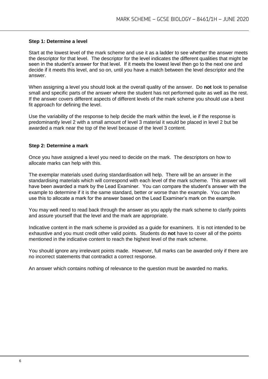#### **Step 1: Determine a level**

Start at the lowest level of the mark scheme and use it as a ladder to see whether the answer meets the descriptor for that level. The descriptor for the level indicates the different qualities that might be seen in the student's answer for that level. If it meets the lowest level then go to the next one and decide if it meets this level, and so on, until you have a match between the level descriptor and the answer.

When assigning a level you should look at the overall quality of the answer. Do **not** look to penalise small and specific parts of the answer where the student has not performed quite as well as the rest. If the answer covers different aspects of different levels of the mark scheme you should use a best fit approach for defining the level.

Use the variability of the response to help decide the mark within the level, ie if the response is predominantly level 2 with a small amount of level 3 material it would be placed in level 2 but be awarded a mark near the top of the level because of the level 3 content.

#### **Step 2: Determine a mark**

Once you have assigned a level you need to decide on the mark. The descriptors on how to allocate marks can help with this.

The exemplar materials used during standardisation will help. There will be an answer in the standardising materials which will correspond with each level of the mark scheme. This answer will have been awarded a mark by the Lead Examiner. You can compare the student's answer with the example to determine if it is the same standard, better or worse than the example. You can then use this to allocate a mark for the answer based on the Lead Examiner's mark on the example.

You may well need to read back through the answer as you apply the mark scheme to clarify points and assure yourself that the level and the mark are appropriate.

Indicative content in the mark scheme is provided as a guide for examiners. It is not intended to be exhaustive and you must credit other valid points. Students do **not** have to cover all of the points mentioned in the indicative content to reach the highest level of the mark scheme.

You should ignore any irrelevant points made. However, full marks can be awarded only if there are no incorrect statements that contradict a correct response.

An answer which contains nothing of relevance to the question must be awarded no marks.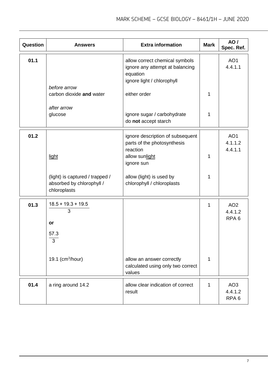| Question | <b>Answers</b>                                                               | <b>Extra information</b>                                                                                    | <b>Mark</b> | AO/<br>Spec. Ref.                              |
|----------|------------------------------------------------------------------------------|-------------------------------------------------------------------------------------------------------------|-------------|------------------------------------------------|
| 01.1     |                                                                              | allow correct chemical symbols<br>ignore any attempt at balancing<br>equation<br>ignore light / chlorophyll |             | AO <sub>1</sub><br>4.4.1.1                     |
|          | before arrow<br>carbon dioxide and water                                     | either order                                                                                                | 1           |                                                |
|          | after arrow<br>glucose                                                       | ignore sugar / carbohydrate<br>do not accept starch                                                         | 1           |                                                |
| 01.2     |                                                                              | ignore description of subsequent<br>parts of the photosynthesis<br>reaction                                 |             | AO <sub>1</sub><br>4.1.1.2<br>4.4.1.1          |
|          | light                                                                        | allow sunlight<br>ignore sun                                                                                | 1           |                                                |
|          | (light) is captured / trapped /<br>absorbed by chlorophyll /<br>chloroplasts | allow (light) is used by<br>chlorophyll / chloroplasts                                                      | 1           |                                                |
| 01.3     | $18.5 + 19.3 + 19.5$<br>3                                                    |                                                                                                             | 1           | AO <sub>2</sub><br>4.4.1.2<br>RPA <sub>6</sub> |
|          | <b>or</b><br>57.3<br>3                                                       |                                                                                                             |             |                                                |
|          | 19.1 ( $cm3/hour$ )                                                          | allow an answer correctly<br>calculated using only two correct<br>values                                    | 1           |                                                |
| 01.4     | a ring around 14.2                                                           | allow clear indication of correct<br>result                                                                 | 1           | AO <sub>3</sub><br>4.4.1.2<br>RPA <sub>6</sub> |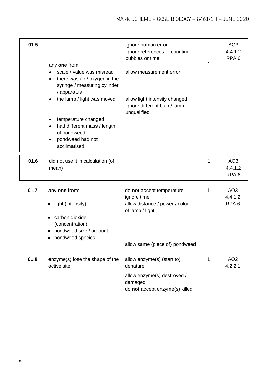| 01.5 | any one from:<br>scale / value was misread<br>$\bullet$<br>there was air / oxygen in the<br>syringe / measuring cylinder<br>/ apparatus<br>the lamp / light was moved<br>temperature changed<br>٠<br>had different mass / length<br>$\bullet$<br>of pondweed<br>pondweed had not<br>$\bullet$<br>acclimatised | ignore human error<br>ignore references to counting<br>bubbles or time<br>allow measurement error<br>allow light intensity changed<br>ignore different bulb / lamp<br>unqualified | 1 | AO <sub>3</sub><br>4.4.1.2<br>RPA <sub>6</sub> |
|------|---------------------------------------------------------------------------------------------------------------------------------------------------------------------------------------------------------------------------------------------------------------------------------------------------------------|-----------------------------------------------------------------------------------------------------------------------------------------------------------------------------------|---|------------------------------------------------|
| 01.6 | did not use it in calculation (of<br>mean)                                                                                                                                                                                                                                                                    |                                                                                                                                                                                   | 1 | AO <sub>3</sub><br>4.4.1.2<br>RPA <sub>6</sub> |
| 01.7 | any one from:<br>light (intensity)<br>٠<br>carbon dioxide<br>$\bullet$<br>(concentration)<br>pondweed size / amount<br>$\bullet$<br>pondweed species                                                                                                                                                          | do not accept temperature<br>ignore time<br>allow distance / power / colour<br>of lamp / light<br>allow same (piece of) pondweed                                                  | 1 | AO <sub>3</sub><br>4.4.1.2<br>RPA <sub>6</sub> |
| 01.8 | enzyme(s) lose the shape of the<br>active site                                                                                                                                                                                                                                                                | allow enzyme(s) (start to)<br>denature<br>allow enzyme(s) destroyed /<br>damaged<br>do not accept enzyme(s) killed                                                                | 1 | AO <sub>2</sub><br>4.2.2.1                     |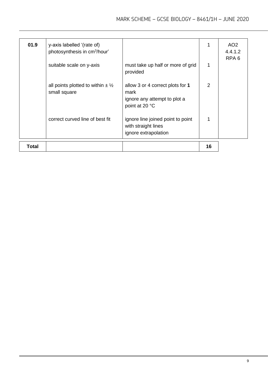| 01.9         | y-axis labelled '(rate of)<br>photosynthesis in cm <sup>3</sup> /hour' |                                                                                            |                | AO <sub>2</sub><br>4.4.1.2<br>RPA <sub>6</sub> |
|--------------|------------------------------------------------------------------------|--------------------------------------------------------------------------------------------|----------------|------------------------------------------------|
|              | suitable scale on y-axis                                               | must take up half or more of grid<br>provided                                              | 1              |                                                |
|              | all points plotted to within $\pm \frac{1}{2}$<br>small square         | allow 3 or 4 correct plots for 1<br>mark<br>ignore any attempt to plot a<br>point at 20 °C | $\overline{2}$ |                                                |
|              | correct curved line of best fit                                        | ignore line joined point to point<br>with straight lines<br>ignore extrapolation           |                |                                                |
| <b>Total</b> |                                                                        |                                                                                            | 16             |                                                |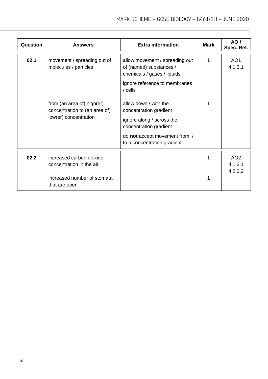| Question | <b>Answers</b>                                                                                       | <b>Extra information</b>                                                                                                                                               | Mark | <b>AO</b> /<br>Spec. Ref.             |
|----------|------------------------------------------------------------------------------------------------------|------------------------------------------------------------------------------------------------------------------------------------------------------------------------|------|---------------------------------------|
| 02.1     | movement / spreading out of<br>molecules / particles                                                 | allow movement / spreading out<br>of (named) substances /<br>chemicals / gases / liquids<br>ignore reference to membranes<br>$/$ cells                                 | 1    | AO <sub>1</sub><br>4.1.3.1            |
|          | from (an area of) high(er)<br>concentration to (an area of)<br>low(er) concentration                 | allow down / with the<br>concentration gradient<br>ignore along / across the<br>concentration gradient<br>do not accept movement from /<br>to a concentration gradient | 1    |                                       |
| 02.2     | increased carbon dioxide<br>concentration in the air<br>increased number of stomata<br>that are open |                                                                                                                                                                        | 1    | AO <sub>2</sub><br>4.1.3.1<br>4.2.3.2 |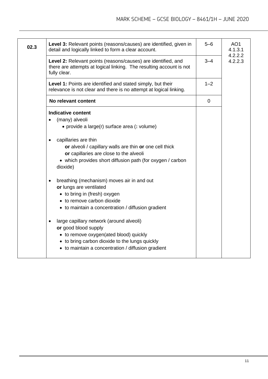| 02.3 | Level 3: Relevant points (reasons/causes) are identified, given in<br>detail and logically linked to form a clear account.                                                                                                                                                                                                                                                                                                                                                                                                                                                                                                                                                                                             | $5 - 6$ | AO <sub>1</sub><br>4.1.3.1<br>4.2.2.2 |
|------|------------------------------------------------------------------------------------------------------------------------------------------------------------------------------------------------------------------------------------------------------------------------------------------------------------------------------------------------------------------------------------------------------------------------------------------------------------------------------------------------------------------------------------------------------------------------------------------------------------------------------------------------------------------------------------------------------------------------|---------|---------------------------------------|
|      | Level 2: Relevant points (reasons/causes) are identified, and<br>there are attempts at logical linking. The resulting account is not<br>fully clear.                                                                                                                                                                                                                                                                                                                                                                                                                                                                                                                                                                   | $3 - 4$ | 4.2.2.3                               |
|      | <b>Level 1:</b> Points are identified and stated simply, but their<br>relevance is not clear and there is no attempt at logical linking.                                                                                                                                                                                                                                                                                                                                                                                                                                                                                                                                                                               | $1 - 2$ |                                       |
|      | No relevant content                                                                                                                                                                                                                                                                                                                                                                                                                                                                                                                                                                                                                                                                                                    | 0       |                                       |
|      | <b>Indicative content</b><br>(many) alveoli<br>• provide a large(r) surface area (: volume)<br>capillaries are thin<br>or alveoli / capillary walls are thin or one cell thick<br>or capillaries are close to the alveoli<br>• which provides short diffusion path (for oxygen / carbon<br>dioxide)<br>breathing (mechanism) moves air in and out<br>or lungs are ventilated<br>• to bring in (fresh) oxygen<br>• to remove carbon dioxide<br>• to maintain a concentration / diffusion gradient<br>large capillary network (around alveoli)<br>or good blood supply<br>• to remove oxygen(ated blood) quickly<br>• to bring carbon dioxide to the lungs quickly<br>• to maintain a concentration / diffusion gradient |         |                                       |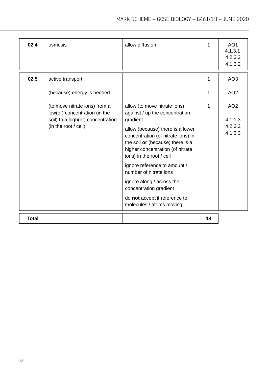MARK SCHEME – GCSE BIOLOGY – 8461/1H – JUNE 2020

| 02.4         | osmosis                                                                                                                     | allow diffusion                                                                                                                                                                                                                                                                                                                                                                                                                        | 1  | AO <sub>1</sub><br>4.1.3.1<br>4.2.3.2<br>4.1.3.2 |
|--------------|-----------------------------------------------------------------------------------------------------------------------------|----------------------------------------------------------------------------------------------------------------------------------------------------------------------------------------------------------------------------------------------------------------------------------------------------------------------------------------------------------------------------------------------------------------------------------------|----|--------------------------------------------------|
| 02.5         | active transport                                                                                                            |                                                                                                                                                                                                                                                                                                                                                                                                                                        |    | AO <sub>3</sub>                                  |
|              | (because) energy is needed                                                                                                  |                                                                                                                                                                                                                                                                                                                                                                                                                                        | 1  | AO <sub>2</sub>                                  |
|              | (to move nitrate ions) from a<br>low(er) concentration (in the<br>soil) to a high(er) concentration<br>(in the root / cell) | allow (to move nitrate ions)<br>against / up the concentration<br>gradient<br>allow (because) there is a lower<br>concentration (of nitrate ions) in<br>the soil or (because) there is a<br>higher concentration (of nitrate<br>ions) in the root / cell<br>ignore reference to amount /<br>number of nitrate ions<br>ignore along / across the<br>concentration gradient<br>do not accept if reference to<br>molecules / atoms moving | 1  | AO <sub>2</sub><br>4.1.1.3<br>4.2.3.2<br>4.1.3.3 |
| <b>Total</b> |                                                                                                                             |                                                                                                                                                                                                                                                                                                                                                                                                                                        | 14 |                                                  |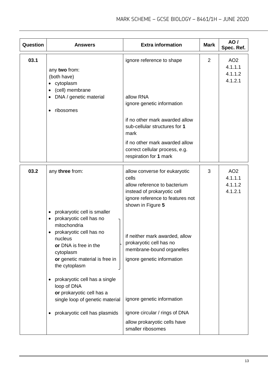| Question | <b>Answers</b>                                                                                                                                                                                                                                                                                                                                                                                                | <b>Extra information</b>                                                                                                                                                                                                                                                                                                                                                                                    | <b>Mark</b> | AO /<br>Spec. Ref.                               |
|----------|---------------------------------------------------------------------------------------------------------------------------------------------------------------------------------------------------------------------------------------------------------------------------------------------------------------------------------------------------------------------------------------------------------------|-------------------------------------------------------------------------------------------------------------------------------------------------------------------------------------------------------------------------------------------------------------------------------------------------------------------------------------------------------------------------------------------------------------|-------------|--------------------------------------------------|
| 03.1     | any two from:<br>(both have)<br>• cytoplasm<br>(cell) membrane<br>DNA / genetic material<br>ribosomes<br>٠                                                                                                                                                                                                                                                                                                    | ignore reference to shape<br>allow RNA<br>ignore genetic information<br>if no other mark awarded allow<br>sub-cellular structures for 1<br>mark<br>if no other mark awarded allow<br>correct cellular process, e.g.<br>respiration for 1 mark                                                                                                                                                               | 2           | AO <sub>2</sub><br>4.1.1.1<br>4.1.1.2<br>4.1.2.1 |
| 03.2     | any three from:<br>prokaryotic cell is smaller<br>$\bullet$<br>prokaryotic cell has no<br>$\bullet$<br>mitochondria<br>prokaryotic cell has no<br>nucleus<br>or DNA is free in the<br>cytoplasm<br>or genetic material is free in<br>the cytoplasm<br>prokaryotic cell has a single<br>٠<br>loop of DNA<br>or prokaryotic cell has a<br>single loop of genetic material<br>prokaryotic cell has plasmids<br>٠ | allow converse for eukaryotic<br>cells<br>allow reference to bacterium<br>instead of prokaryotic cell<br>ignore reference to features not<br>shown in Figure 5<br>if neither mark awarded, allow<br>prokaryotic cell has no<br>membrane-bound organelles<br>ignore genetic information<br>ignore genetic information<br>ignore circular / rings of DNA<br>allow prokaryotic cells have<br>smaller ribosomes | 3           | AO <sub>2</sub><br>4.1.1.1<br>4.1.1.2<br>4.1.2.1 |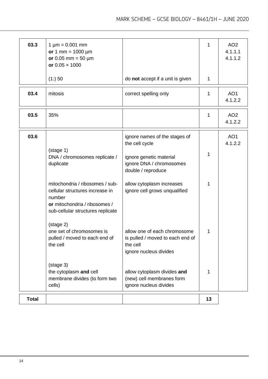| 03.3         | $1 \mu m = 0.001 \text{ mm}$<br>or 1 mm = $1000 \mu m$<br>or 0.05 mm = $50 \mu m$<br>or $0.05 \times 1000$                                         |                                                                                                                              | 1            | AO <sub>2</sub><br>4.1.1.1<br>4.1.1.2 |
|--------------|----------------------------------------------------------------------------------------------------------------------------------------------------|------------------------------------------------------------------------------------------------------------------------------|--------------|---------------------------------------|
|              | (1:) 50                                                                                                                                            | do not accept if a unit is given                                                                                             | $\mathbf 1$  |                                       |
| 03.4         | mitosis                                                                                                                                            | correct spelling only                                                                                                        | 1            | AO <sub>1</sub><br>4.1.2.2            |
| 03.5         | 35%                                                                                                                                                |                                                                                                                              | 1            | AO <sub>2</sub><br>4.1.2.2            |
| 03.6         | $(\text{stage } 1)$<br>DNA / chromosomes replicate /<br>duplicate                                                                                  | ignore names of the stages of<br>the cell cycle<br>ignore genetic material<br>ignore DNA / chromosomes<br>double / reproduce | $\mathbf{1}$ | AO <sub>1</sub><br>4.1.2.2            |
|              | mitochondria / ribosomes / sub-<br>cellular structures increase in<br>number<br>or mitochondria / ribosomes /<br>sub-cellular structures replicate | allow cytoplasm increases<br>ignore cell grows unqualified                                                                   | 1            |                                       |
|              | (stage 2)<br>one set of chromosomes is<br>pulled / moved to each end of<br>the cell                                                                | allow one of each chromosome<br>is pulled / moved to each end of<br>the cell<br>ignore nucleus divides                       | 1            |                                       |
|              | (stage 3)<br>the cytoplasm and cell<br>membrane divides (to form two<br>cells)                                                                     | allow cytoplasm divides and<br>(new) cell membranes form<br>ignore nucleus divides                                           | $\mathbf{1}$ |                                       |
| <b>Total</b> |                                                                                                                                                    |                                                                                                                              | 13           |                                       |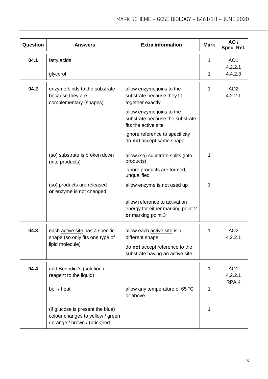| Question | <b>Answers</b>                                                                                        | <b>Extra information</b>                                                                 | <b>Mark</b> | AO /<br>Spec. Ref.         |
|----------|-------------------------------------------------------------------------------------------------------|------------------------------------------------------------------------------------------|-------------|----------------------------|
| 04.1     | fatty acids                                                                                           |                                                                                          | 1           | AO <sub>1</sub>            |
|          | glycerol                                                                                              |                                                                                          | 1           | 4.2.2.1<br>4.4.2.3         |
| 04.2     | enzyme binds to the substrate<br>because they are<br>complementary (shapes)                           | allow enzyme joins to the<br>substrate because they fit<br>together exactly              | 1           | AO <sub>2</sub><br>4.2.2.1 |
|          |                                                                                                       | allow enzyme joins to the<br>substrate because the substrate<br>fits the active site     |             |                            |
|          |                                                                                                       | ignore reference to specificity<br>do not accept same shape                              |             |                            |
|          | (so) substrate is broken down<br>(into products)                                                      | allow (so) substrate splits (into<br>products)                                           | 1           |                            |
|          |                                                                                                       | ignore products are formed,<br>unqualified                                               |             |                            |
|          | (so) products are released<br>or enzyme is not changed                                                | allow enzyme is not used up                                                              | 1           |                            |
|          |                                                                                                       | allow reference to activation<br>energy for either marking point 2<br>or marking point 3 |             |                            |
| 04.3     | each active site has a specific<br>shape (so only fits one type of                                    | allow each active site is a<br>different shape                                           | 1           | AO <sub>2</sub><br>4.2.2.1 |
|          | lipid molecule)                                                                                       | do not accept reference to the<br>substrate having an active site                        |             |                            |
| 04.4     | add Benedict's (solution /<br>reagent to the liquid)                                                  |                                                                                          | 1           | AO <sub>1</sub><br>4.2.2.1 |
|          | boil / heat                                                                                           | allow any temperature of 65 °C<br>or above                                               | 1           | RPA <sub>4</sub>           |
|          | (if glucose is present the blue)<br>colour changes to yellow / green<br>/ orange / brown / (brick)red |                                                                                          | 1           |                            |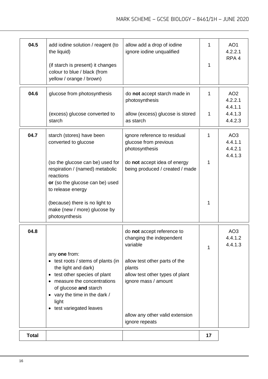| 04.5         | add iodine solution / reagent (to<br>the liquid)<br>(if starch is present) it changes<br>colour to blue / black (from<br>yellow / orange / brown)                                                                                          | allow add a drop of iodine<br>ignore iodine unqualified                                                                                                                                                                       | 1<br>1 | AO <sub>1</sub><br>4.2.2.1<br>RPA <sub>4</sub>   |
|--------------|--------------------------------------------------------------------------------------------------------------------------------------------------------------------------------------------------------------------------------------------|-------------------------------------------------------------------------------------------------------------------------------------------------------------------------------------------------------------------------------|--------|--------------------------------------------------|
| 04.6         | glucose from photosynthesis<br>(excess) glucose converted to                                                                                                                                                                               | do not accept starch made in<br>photosynthesis<br>allow (excess) glucose is stored                                                                                                                                            | 1<br>1 | AO <sub>2</sub><br>4.2.2.1<br>4.4.1.1<br>4.4.1.3 |
|              | starch                                                                                                                                                                                                                                     | as starch                                                                                                                                                                                                                     |        | 4.4.2.3                                          |
| 04.7         | starch (stores) have been<br>converted to glucose                                                                                                                                                                                          | ignore reference to residual<br>glucose from previous<br>photosynthesis                                                                                                                                                       | 1      | AO <sub>3</sub><br>4.4.1.1<br>4.4.2.1<br>4.4.1.3 |
|              | (so the glucose can be) used for<br>respiration / (named) metabolic<br>reactions<br>or (so the glucose can be) used<br>to release energy                                                                                                   | do not accept idea of energy<br>being produced / created / made                                                                                                                                                               | 1      |                                                  |
|              | (because) there is no light to<br>make (new / more) glucose by<br>photosynthesis                                                                                                                                                           |                                                                                                                                                                                                                               | 1      |                                                  |
| 04.8         | any one from:<br>• test roots / stems of plants (in<br>the light and dark)<br>• test other species of plant<br>• measure the concentrations<br>of glucose and starch<br>• vary the time in the dark /<br>light<br>• test variegated leaves | do not accept reference to<br>changing the independent<br>variable<br>allow test other parts of the<br>plants<br>allow test other types of plant<br>ignore mass / amount<br>allow any other valid extension<br>ignore repeats | 1      | AO <sub>3</sub><br>4.4.1.2<br>4.4.1.3            |
| <b>Total</b> |                                                                                                                                                                                                                                            |                                                                                                                                                                                                                               | 17     |                                                  |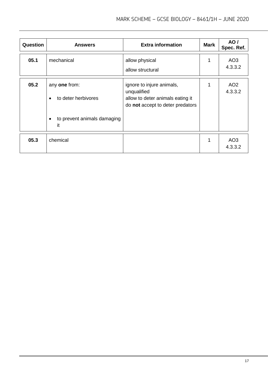| Question | <b>Answers</b>                                    | <b>Extra information</b>                                                                                         | <b>Mark</b> | AO/<br>Spec. Ref.          |
|----------|---------------------------------------------------|------------------------------------------------------------------------------------------------------------------|-------------|----------------------------|
| 05.1     | mechanical                                        | allow physical<br>allow structural                                                                               | 1           | AO <sub>3</sub><br>4.3.3.2 |
| 05.2     | any one from:<br>to deter herbivores<br>$\bullet$ | ignore to injure animals,<br>unqualified<br>allow to deter animals eating it<br>do not accept to deter predators |             | AO <sub>2</sub><br>4.3.3.2 |
|          | to prevent animals damaging<br>$\bullet$<br>it    |                                                                                                                  |             |                            |
| 05.3     | chemical                                          |                                                                                                                  | 1           | AO <sub>3</sub><br>4.3.3.2 |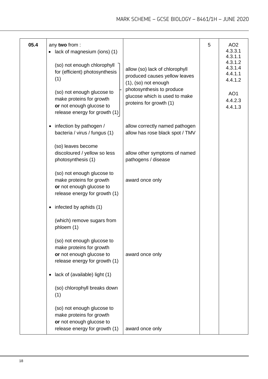| 05.4 | any two from:<br>lack of magnesium (ions) (1)                                                                                                              |                                                                                                                                                                                       | 5 | AO <sub>2</sub><br>4.3.3.1<br>4.3.1.1                                             |
|------|------------------------------------------------------------------------------------------------------------------------------------------------------------|---------------------------------------------------------------------------------------------------------------------------------------------------------------------------------------|---|-----------------------------------------------------------------------------------|
|      | (so) not enough chlorophyll<br>for (efficient) photosynthesis<br>(1)<br>(so) not enough glucose to<br>make proteins for growth<br>or not enough glucose to | allow (so) lack of chlorophyll<br>produced causes yellow leaves<br>$(1)$ , $(so)$ not enough<br>photosynthesis to produce<br>glucose which is used to make<br>proteins for growth (1) |   | 4.3.1.2<br>4.3.1.4<br>4.4.1.1<br>4.4.1.2<br>AO <sub>1</sub><br>4.4.2.3<br>4.4.1.3 |
|      | release energy for growth (1)                                                                                                                              |                                                                                                                                                                                       |   |                                                                                   |
|      | infection by pathogen /<br>bacteria / virus / fungus (1)                                                                                                   | allow correctly named pathogen<br>allow has rose black spot / TMV                                                                                                                     |   |                                                                                   |
|      | (so) leaves become<br>discoloured / yellow so less<br>photosynthesis (1)                                                                                   | allow other symptoms of named<br>pathogens / disease                                                                                                                                  |   |                                                                                   |
|      | (so) not enough glucose to<br>make proteins for growth<br>or not enough glucose to<br>release energy for growth (1)                                        | award once only                                                                                                                                                                       |   |                                                                                   |
|      | infected by aphids (1)                                                                                                                                     |                                                                                                                                                                                       |   |                                                                                   |
|      | (which) remove sugars from<br>phloem (1)                                                                                                                   |                                                                                                                                                                                       |   |                                                                                   |
|      | (so) not enough glucose to<br>make proteins for growth<br>or not enough glucose to<br>release energy for growth (1)                                        | award once only                                                                                                                                                                       |   |                                                                                   |
|      | lack of (available) light (1)                                                                                                                              |                                                                                                                                                                                       |   |                                                                                   |
|      | (so) chlorophyll breaks down<br>(1)                                                                                                                        |                                                                                                                                                                                       |   |                                                                                   |
|      | (so) not enough glucose to<br>make proteins for growth<br>or not enough glucose to<br>release energy for growth (1)                                        | award once only                                                                                                                                                                       |   |                                                                                   |
|      |                                                                                                                                                            |                                                                                                                                                                                       |   |                                                                                   |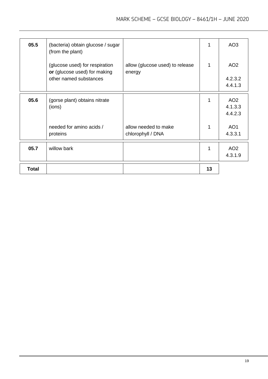| 05.5         | (bacteria) obtain glucose / sugar<br>(from the plant)                                    |                                           | 1  | AO <sub>3</sub>                       |
|--------------|------------------------------------------------------------------------------------------|-------------------------------------------|----|---------------------------------------|
|              | (glucose used) for respiration<br>or (glucose used) for making<br>other named substances | allow (glucose used) to release<br>energy | 1  | AO <sub>2</sub><br>4.2.3.2<br>4.4.1.3 |
|              |                                                                                          |                                           |    |                                       |
| 05.6         | (gorse plant) obtains nitrate<br>(ions)                                                  |                                           | 1  | AO <sub>2</sub><br>4.1.3.3<br>4.4.2.3 |
|              | needed for amino acids /<br>proteins                                                     | allow needed to make<br>chlorophyll / DNA | 1  | AO <sub>1</sub><br>4.3.3.1            |
| 05.7         | willow bark                                                                              |                                           | 1  | AO <sub>2</sub><br>4.3.1.9            |
| <b>Total</b> |                                                                                          |                                           | 13 |                                       |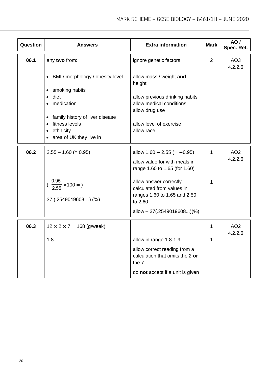| Question | <b>Answers</b>                                                                                          | <b>Extra information</b>                                                                           | <b>Mark</b> | AO/<br>Spec. Ref.          |
|----------|---------------------------------------------------------------------------------------------------------|----------------------------------------------------------------------------------------------------|-------------|----------------------------|
| 06.1     | any two from:                                                                                           | ignore genetic factors                                                                             | 2           | AO <sub>3</sub><br>4.2.2.6 |
|          | • BMI / morphology / obesity level                                                                      | allow mass / weight and<br>height                                                                  |             |                            |
|          | smoking habits<br>٠<br>$\bullet$ diet<br>medication                                                     | allow previous drinking habits<br>allow medical conditions<br>allow drug use                       |             |                            |
|          | family history of liver disease<br>٠<br>• fitness levels<br>ethnicity<br>٠<br>• area of UK they live in | allow level of exercise<br>allow race                                                              |             |                            |
| 06.2     | $2.55 - 1.60 (= 0.95)$                                                                                  | allow $1.60 - 2.55 (= -0.95)$<br>allow value for with meals in<br>range 1.60 to 1.65 (for 1.60)    | 1           | AO <sub>2</sub><br>4.2.2.6 |
|          | $(\frac{0.95}{2.55} \times 100 = )$<br>37 (.2549019608) (%)                                             | allow answer correctly<br>calculated from values in<br>ranges 1.60 to 1.65 and 2.50<br>to 2.60     | 1           |                            |
|          |                                                                                                         | allow $-37(.2549019608)$ (%)                                                                       |             |                            |
| 06.3     | $12 \times 2 \times 7 = 168$ (g/week)                                                                   |                                                                                                    | 1           | AO <sub>2</sub>            |
|          | 1.8                                                                                                     | allow in range 1.8-1.9<br>allow correct reading from a<br>calculation that omits the 2 or<br>the 7 | 1           | 4.2.2.6                    |
|          |                                                                                                         | do not accept if a unit is given                                                                   |             |                            |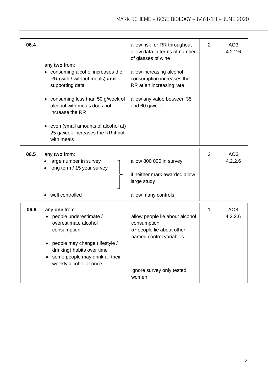| 06.4 | any two from:<br>• consuming alcohol increases the<br>RR (with / without meals) and<br>supporting data<br>consuming less than 50 g/week of<br>٠<br>alcohol with meals does not<br>increase the RR<br>even (small amounts of alcohol at)<br>$\bullet$<br>25 g/week increases the RR if not<br>with meals | allow risk for RR throughout<br>allow data in terms of number<br>of glasses of wine<br>allow increasing alcohol<br>consumption increases the<br>RR at an increasing rate<br>allow any value between 35<br>and 60 g/week | 2 | AO <sub>3</sub><br>4.2.2.6 |
|------|---------------------------------------------------------------------------------------------------------------------------------------------------------------------------------------------------------------------------------------------------------------------------------------------------------|-------------------------------------------------------------------------------------------------------------------------------------------------------------------------------------------------------------------------|---|----------------------------|
| 06.5 | any two from:<br>large number in survey<br>$\bullet$<br>long term / 15 year survey<br>well controlled                                                                                                                                                                                                   | allow 800 000 in survey<br>if neither mark awarded allow<br>large study<br>allow many controls                                                                                                                          | 2 | AO <sub>3</sub><br>4.2.2.6 |
| 06.6 | any one from:<br>people underestimate /<br>overestimate alcohol<br>consumption<br>people may change (lifestyle /<br>drinking) habits over time<br>some people may drink all their<br>٠<br>weekly alcohol at once                                                                                        | allow people lie about alcohol<br>consumption<br>or people lie about other<br>named control variables<br>ignore survey only tested<br>women                                                                             | 1 | AO <sub>3</sub><br>4.2.2.6 |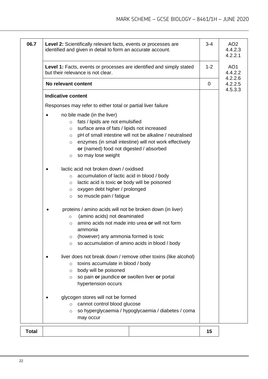| 06.7         | Level 2: Scientifically relevant facts, events or processes are<br>identified and given in detail to form an accurate account.                                                                                                                                                                                                                               | $3 - 4$ | AO <sub>2</sub><br>4.4.2.3<br>4.2.2.1 |
|--------------|--------------------------------------------------------------------------------------------------------------------------------------------------------------------------------------------------------------------------------------------------------------------------------------------------------------------------------------------------------------|---------|---------------------------------------|
|              | Level 1: Facts, events or processes are identified and simply stated<br>but their relevance is not clear.                                                                                                                                                                                                                                                    |         | AO <sub>1</sub><br>4.4.2.2            |
|              | No relevant content                                                                                                                                                                                                                                                                                                                                          | 0       | 4.2.2.6<br>4.2.2.5                    |
|              | <b>Indicative content</b>                                                                                                                                                                                                                                                                                                                                    |         | 4.5.3.3                               |
|              | Responses may refer to either total or partial liver failure                                                                                                                                                                                                                                                                                                 |         |                                       |
|              | no bile made (in the liver)<br>fats / lipids are not emulsified<br>$\circ$<br>surface area of fats / lipids not increased<br>$\circ$<br>pH of small intestine will not be alkaline / neutralised<br>$\circ$<br>enzymes (in small intestine) will not work effectively<br>$\circ$<br>or (named) food not digested / absorbed<br>so may lose weight<br>$\circ$ |         |                                       |
|              | lactic acid not broken down / oxidised<br>accumulation of lactic acid in blood / body<br>$\circ$<br>lactic acid is toxic or body will be poisoned<br>$\circ$<br>oxygen debt higher / prolonged<br>$\circ$<br>so muscle pain / fatigue<br>$\circ$                                                                                                             |         |                                       |
|              | proteins / amino acids will not be broken down (in liver)<br>(amino acids) not deaminated<br>$\circ$<br>amino acids not made into urea or will not form<br>$\circ$<br>ammonia<br>(however) any ammonia formed is toxic<br>$\circ$<br>so accumulation of amino acids in blood / body<br>$\circ$                                                               |         |                                       |
|              | liver does not break down / remove other toxins (like alcohol)<br>toxins accumulate in blood / body<br>$\circ$<br>body will be poisoned<br>$\circ$<br>so pain or jaundice or swollen liver or portal<br>$\circ$<br>hypertension occurs                                                                                                                       |         |                                       |
| $\mathbf{v}$ | glycogen stores will not be formed<br>cannot control blood glucose<br>$\circ$<br>so hyperglycaemia / hypoglycaemia / diabetes / coma<br>$\circ$<br>may occur                                                                                                                                                                                                 |         |                                       |
| Total        |                                                                                                                                                                                                                                                                                                                                                              | 15      |                                       |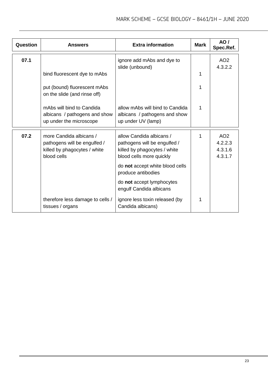| Question | <b>Answers</b>                                                                                         | <b>Extra information</b>                                                                                             | <b>Mark</b> | AO/<br>Spec.Ref.                                 |
|----------|--------------------------------------------------------------------------------------------------------|----------------------------------------------------------------------------------------------------------------------|-------------|--------------------------------------------------|
| 07.1     |                                                                                                        | ignore add mAbs and dye to<br>slide (unbound)                                                                        |             | AO <sub>2</sub><br>4.3.2.2                       |
|          | bind fluorescent dye to mAbs                                                                           |                                                                                                                      | 1           |                                                  |
|          | put (bound) fluorescent mAbs<br>on the slide (and rinse off)                                           |                                                                                                                      |             |                                                  |
|          | mAbs will bind to Candida<br>albicans / pathogens and show<br>up under the microscope                  | allow mAbs will bind to Candida<br>albicans / pathogens and show<br>up under UV (lamp)                               | 1           |                                                  |
| 07.2     | more Candida albicans /<br>pathogens will be engulfed /<br>killed by phagocytes / white<br>blood cells | allow Candida albicans /<br>pathogens will be engulfed /<br>killed by phagocytes / white<br>blood cells more quickly | 1           | AO <sub>2</sub><br>4.2.2.3<br>4.3.1.6<br>4.3.1.7 |
|          |                                                                                                        | do not accept white blood cells<br>produce antibodies                                                                |             |                                                  |
|          |                                                                                                        | do not accept lymphocytes<br>engulf Candida albicans                                                                 |             |                                                  |
|          | therefore less damage to cells /<br>tissues / organs                                                   | ignore less toxin released (by<br>Candida albicans)                                                                  | 1           |                                                  |